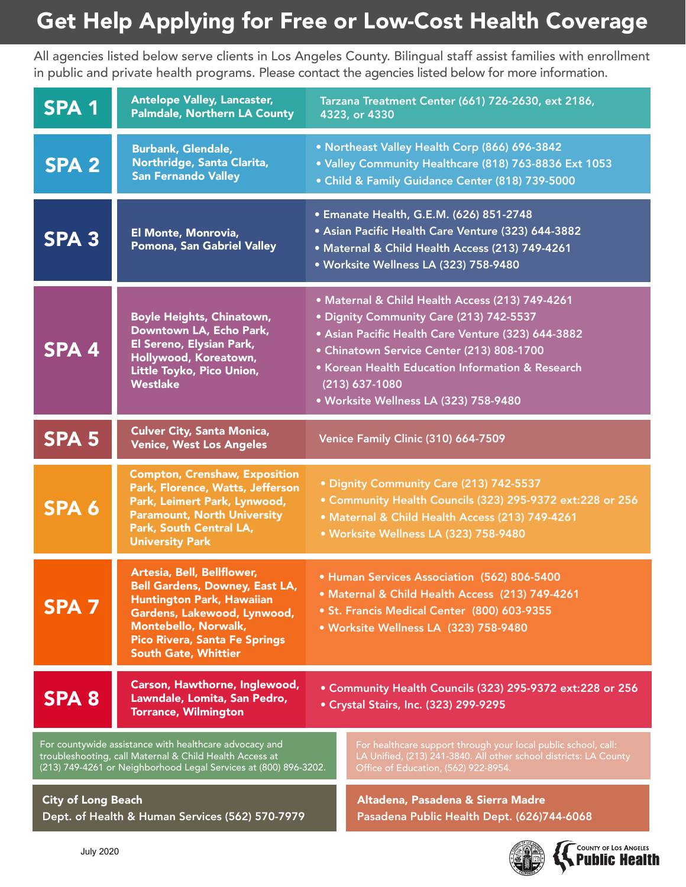## Get Help Applying for Free or Low-Cost Health Coverage

All agencies listed below serve clients in Los Angeles County. Bilingual staff assist families with enrollment in public and private health programs. Please contact the agencies listed below for more information.

| <b>SPA 1</b>                                                                                                                                                                          | <b>Antelope Valley, Lancaster,</b><br><b>Palmdale, Northern LA County</b>                                                                                                                                                                    | Tarzana Treatment Center (661) 726-2630, ext 2186,<br>4323, or 4330                                                                                                                                                                                                                                              |                                                                                                                                                                             |  |
|---------------------------------------------------------------------------------------------------------------------------------------------------------------------------------------|----------------------------------------------------------------------------------------------------------------------------------------------------------------------------------------------------------------------------------------------|------------------------------------------------------------------------------------------------------------------------------------------------------------------------------------------------------------------------------------------------------------------------------------------------------------------|-----------------------------------------------------------------------------------------------------------------------------------------------------------------------------|--|
| <b>SPA 2</b>                                                                                                                                                                          | <b>Burbank, Glendale,</b><br>Northridge, Santa Clarita,<br><b>San Fernando Valley</b>                                                                                                                                                        | • Northeast Valley Health Corp (866) 696-3842<br>. Valley Community Healthcare (818) 763-8836 Ext 1053<br>• Child & Family Guidance Center (818) 739-5000                                                                                                                                                        |                                                                                                                                                                             |  |
| SPA <sub>3</sub>                                                                                                                                                                      | El Monte, Monrovia,<br>Pomona, San Gabriel Valley                                                                                                                                                                                            | • Emanate Health, G.E.M. (626) 851-2748<br>• Asian Pacific Health Care Venture (323) 644-3882<br>· Maternal & Child Health Access (213) 749-4261<br>· Worksite Wellness LA (323) 758-9480                                                                                                                        |                                                                                                                                                                             |  |
| SPA <sub>4</sub>                                                                                                                                                                      | <b>Boyle Heights, Chinatown,</b><br>Downtown LA, Echo Park,<br>El Sereno, Elysian Park,<br>Hollywood, Koreatown,<br>Little Toyko, Pico Union,<br><b>Westlake</b>                                                                             | · Maternal & Child Health Access (213) 749-4261<br>· Dignity Community Care (213) 742-5537<br>· Asian Pacific Health Care Venture (323) 644-3882<br>• Chinatown Service Center (213) 808-1700<br>• Korean Health Education Information & Research<br>$(213) 637 - 1080$<br>· Worksite Wellness LA (323) 758-9480 |                                                                                                                                                                             |  |
| <b>SPA 5</b>                                                                                                                                                                          | <b>Culver City, Santa Monica,</b><br><b>Venice, West Los Angeles</b>                                                                                                                                                                         | Venice Family Clinic (310) 664-7509                                                                                                                                                                                                                                                                              |                                                                                                                                                                             |  |
| SPA 6                                                                                                                                                                                 | <b>Compton, Crenshaw, Exposition</b><br>Park, Florence, Watts, Jefferson<br>Park, Leimert Park, Lynwood,<br><b>Paramount, North University</b><br>Park, South Central LA,<br><b>University Park</b>                                          | · Dignity Community Care (213) 742-5537<br>• Community Health Councils (323) 295-9372 ext:228 or 256<br>· Maternal & Child Health Access (213) 749-4261<br>· Worksite Wellness LA (323) 758-9480                                                                                                                 |                                                                                                                                                                             |  |
| <b>SPA 7</b>                                                                                                                                                                          | Artesia, Bell, Bellflower,<br><b>Bell Gardens, Downey, East LA,</b><br><b>Huntington Park, Hawaiian</b><br>Gardens, Lakewood, Lynwood,<br><b>Montebello, Norwalk,</b><br><b>Pico Rivera, Santa Fe Springs</b><br><b>South Gate, Whittier</b> | • Human Services Association (562) 806-5400<br>• Maternal & Child Health Access (213) 749-4261<br>• St. Francis Medical Center (800) 603-9355<br>· Worksite Wellness LA (323) 758-9480                                                                                                                           |                                                                                                                                                                             |  |
| <b>SPA 8</b>                                                                                                                                                                          | Carson, Hawthorne, Inglewood,<br>Lawndale, Lomita, San Pedro,<br><b>Torrance, Wilmington</b>                                                                                                                                                 | • Community Health Councils (323) 295-9372 ext:228 or 256<br>• Crystal Stairs, Inc. (323) 299-9295                                                                                                                                                                                                               |                                                                                                                                                                             |  |
| For countywide assistance with healthcare advocacy and<br>troubleshooting, call Maternal & Child Health Access at<br>(213) 749-4261 or Neighborhood Legal Services at (800) 896-3202. |                                                                                                                                                                                                                                              |                                                                                                                                                                                                                                                                                                                  | For healthcare support through your local public school, call:<br>LA Unified, (213) 241-3840. All other school districts: LA County<br>Office of Education, (562) 922-8954. |  |
| <b>City of Long Beach</b><br>Dept. of Health & Human Services (562) 570-7979                                                                                                          |                                                                                                                                                                                                                                              |                                                                                                                                                                                                                                                                                                                  | Altadena, Pasadena & Sierra Madre<br>Pasadena Public Health Dept. (626)744-6068                                                                                             |  |



COUNTY OF LOS ANGELES **Public Health**